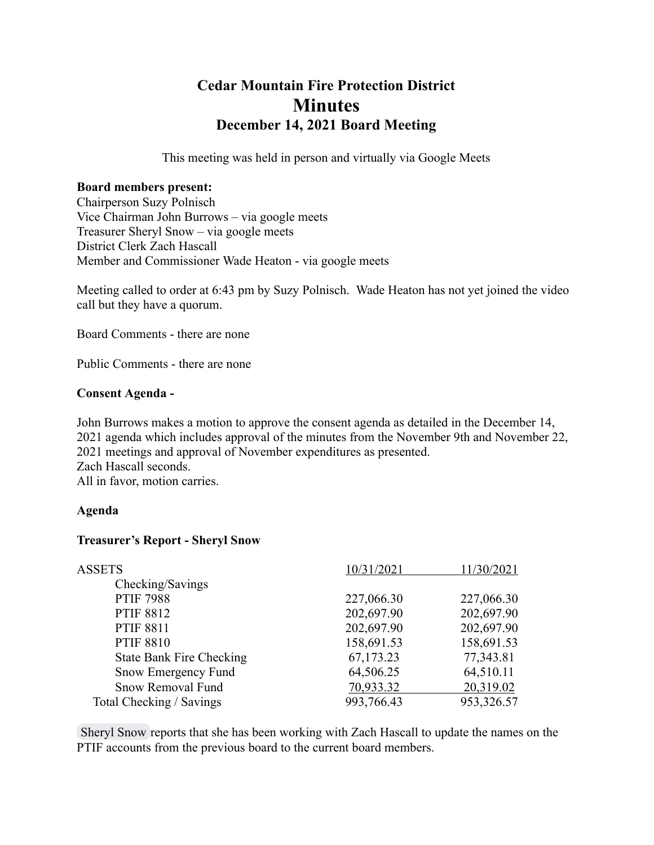# **Cedar Mountain Fire Protection District Minutes December 14, 2021 Board Meeting**

This meeting was held in person and virtually via Google Meets

#### **Board members present:**

Chairperson Suzy Polnisch Vice Chairman John Burrows – via google meets Treasurer Sheryl Snow – via google meets District Clerk Zach Hascall Member and Commissioner Wade Heaton - via google meets

Meeting called to order at 6:43 pm by Suzy Polnisch. Wade Heaton has not yet joined the video call but they have a quorum.

Board Comments - there are none

Public Comments - there are none

#### **Consent Agenda -**

John Burrows makes a motion to approve the consent agenda as detailed in the December 14, 2021 agenda which includes approval of the minutes from the November 9th and November 22, 2021 meetings and approval of November expenditures as presented. Zach Hascall seconds. All in favor, motion carries.

#### **Agenda**

#### **Treasurer's Report - Sheryl Snow**

| <b>ASSETS</b>                   | 10/31/2021 | 11/30/2021 |
|---------------------------------|------------|------------|
| Checking/Savings                |            |            |
| <b>PTIF 7988</b>                | 227,066.30 | 227,066.30 |
| <b>PTIF 8812</b>                | 202,697.90 | 202,697.90 |
| <b>PTIF 8811</b>                | 202,697.90 | 202,697.90 |
| <b>PTIF 8810</b>                | 158,691.53 | 158,691.53 |
| <b>State Bank Fire Checking</b> | 67,173.23  | 77,343.81  |
| Snow Emergency Fund             | 64,506.25  | 64,510.11  |
| Snow Removal Fund               | 70,933.32  | 20,319.02  |
| Total Checking / Savings        | 993,766.43 | 953,326.57 |

Sheryl Snow reports that she has been working with Zach Hascall to update the names on the PTIF accounts from the previous board to the current board members.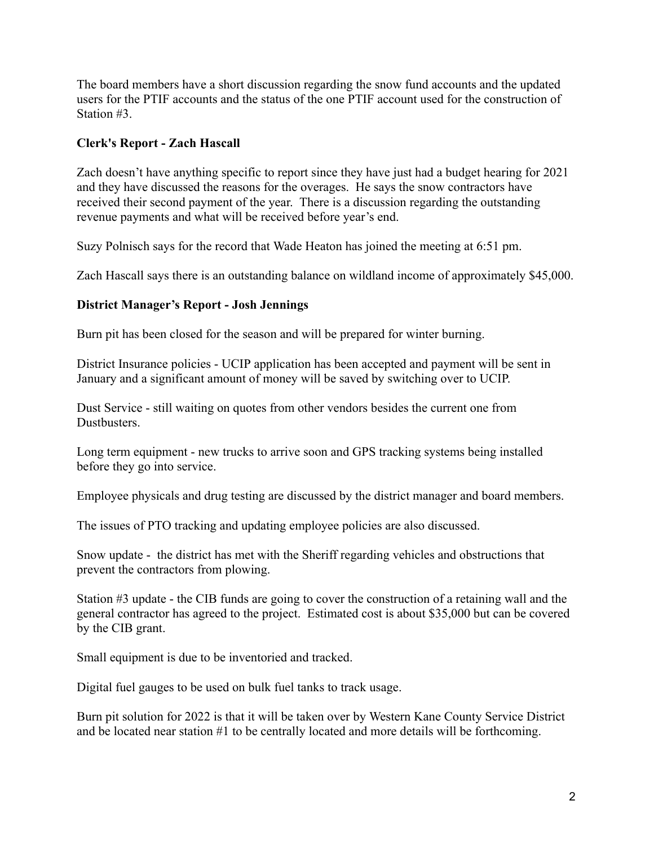The board members have a short discussion regarding the snow fund accounts and the updated users for the PTIF accounts and the status of the one PTIF account used for the construction of Station #3.

## **Clerk's Report - Zach Hascall**

Zach doesn't have anything specific to report since they have just had a budget hearing for 2021 and they have discussed the reasons for the overages. He says the snow contractors have received their second payment of the year. There is a discussion regarding the outstanding revenue payments and what will be received before year's end.

Suzy Polnisch says for the record that Wade Heaton has joined the meeting at 6:51 pm.

Zach Hascall says there is an outstanding balance on wildland income of approximately \$45,000.

## **District Manager's Report - Josh Jennings**

Burn pit has been closed for the season and will be prepared for winter burning.

District Insurance policies - UCIP application has been accepted and payment will be sent in January and a significant amount of money will be saved by switching over to UCIP.

Dust Service - still waiting on quotes from other vendors besides the current one from Dustbusters.

Long term equipment - new trucks to arrive soon and GPS tracking systems being installed before they go into service.

Employee physicals and drug testing are discussed by the district manager and board members.

The issues of PTO tracking and updating employee policies are also discussed.

Snow update - the district has met with the Sheriff regarding vehicles and obstructions that prevent the contractors from plowing.

Station #3 update - the CIB funds are going to cover the construction of a retaining wall and the general contractor has agreed to the project. Estimated cost is about \$35,000 but can be covered by the CIB grant.

Small equipment is due to be inventoried and tracked.

Digital fuel gauges to be used on bulk fuel tanks to track usage.

Burn pit solution for 2022 is that it will be taken over by Western Kane County Service District and be located near station #1 to be centrally located and more details will be forthcoming.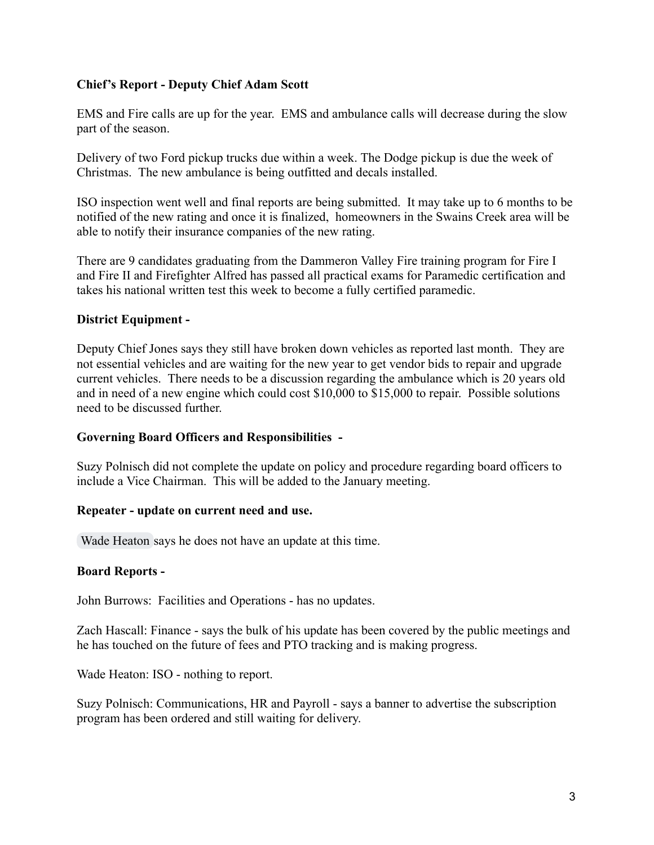## **Chief's Report - Deputy Chief Adam Scott**

EMS and Fire calls are up for the year. EMS and ambulance calls will decrease during the slow part of the season.

Delivery of two Ford pickup trucks due within a week. The Dodge pickup is due the week of Christmas. The new ambulance is being outfitted and decals installed.

ISO inspection went well and final reports are being submitted. It may take up to 6 months to be notified of the new rating and once it is finalized, homeowners in the Swains Creek area will be able to notify their insurance companies of the new rating.

There are 9 candidates graduating from the Dammeron Valley Fire training program for Fire I and Fire II and Firefighter Alfred has passed all practical exams for Paramedic certification and takes his national written test this week to become a fully certified paramedic.

## **District Equipment -**

Deputy Chief Jones says they still have broken down vehicles as reported last month. They are not essential vehicles and are waiting for the new year to get vendor bids to repair and upgrade current vehicles. There needs to be a discussion regarding the ambulance which is 20 years old and in need of a new engine which could cost  $$10,000$  to  $$15,000$  to repair. Possible solutions need to be discussed further.

## **Governing Board Officers and Responsibilities -**

Suzy Polnisch did not complete the update on policy and procedure regarding board officers to include a Vice Chairman. This will be added to the January meeting.

## **Repeater - update on current need and use.**

Wade Heaton says he does not have an update at this time.

## **Board Reports -**

John Burrows: Facilities and Operations - has no updates.

Zach Hascall: Finance - says the bulk of his update has been covered by the public meetings and he has touched on the future of fees and PTO tracking and is making progress.

Wade Heaton: ISO - nothing to report.

Suzy Polnisch: Communications, HR and Payroll - says a banner to advertise the subscription program has been ordered and still waiting for delivery.